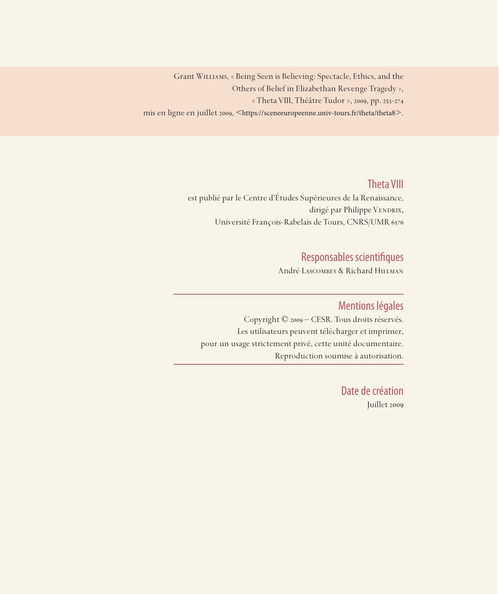Grant Williams, « Being Seen is Believing: Spectacle, Ethics, and the Others of Belief in Elizabethan Revenge Tragedy », « Theta VIII, Théâtre Tudor », 2009, pp. 253-274 mis en ligne en juillet 2009, <https://sceneeuropeenne.univ-tours.fr/theta/theta8>.

## Theta VIII

est publié par le Centre d'Études Supérieures de la Renaissance, dirigé par Philippe VENDRIX, Université François-Rabelais de Tours, CNRS/UMR 6576

# Responsables scientifiques

André Lascombes & Richard Hillman

### Mentions légales

Copyright © 2009 – CESR. Tous droits réservés. Les utilisateurs peuvent télécharger et imprimer, pour un usage strictement privé, cette unité documentaire. Reproduction soumise à autorisation.

> Date de création Juillet 2009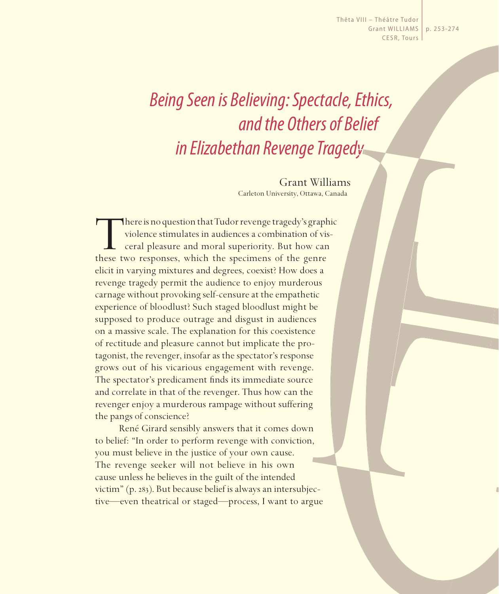Thêta VIII – Théâtre Tudor Grant WILLIAMS | p. 253-274 CESR, Tours

# *Being Seen is Believing: Spectacle, Ethics, and the Others of Belief in Elizabethan Revenge Tragedy*

Grant Williams Carleton University, Ottawa, Canada

There is no question that Tudor revenge tragedy's graphic violence stimulates in audiences a combination of visceral pleasure and moral superiority. But how can these two responses, which the specimens of the genre violence stimulates in audiences a combination of visceral pleasure and moral superiority. But how can these two responses, which the specimens of the genre elicit in varying mixtures and degrees, coexist? How does a revenge tragedy permit the audience to enjoy murderous carnage without provoking self-censure at the empathetic experience of bloodlust? Such staged bloodlust might be supposed to produce outrage and disgust in audiences on a massive scale. The explanation for this coexistence of rectitude and pleasure cannot but implicate the protagonist, the revenger, insofar as the spectator's response grows out of his vicarious engagement with revenge. The spectator's predicament finds its immediate source and correlate in that of the revenger. Thus how can the revenger enjoy a murderous rampage without suffering the pangs of conscience?

René Girard sensibly answers that it comes down to belief: "In order to perform revenge with conviction, you must believe in the justice of your own cause. The revenge seeker will not believe in his own cause unless he believes in the guilt of the intended victim" (p. 283). But because belief is always an intersubjective—even theatrical or staged—process, I want to argue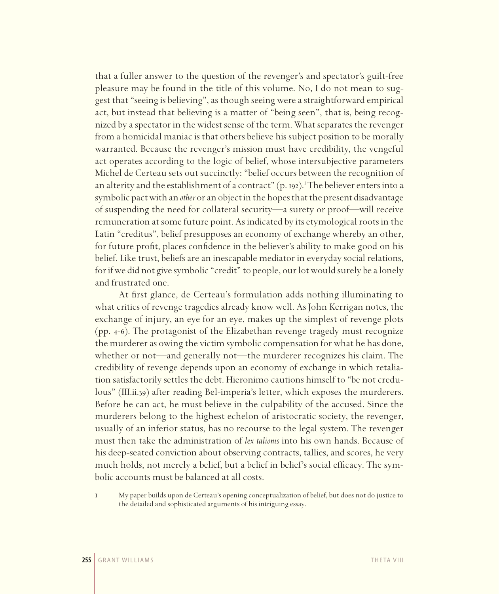that a fuller answer to the question of the revenger's and spectator's guilt-free pleasure may be found in the title of this volume. No, I do not mean to suggest that "seeing is believing", as though seeing were a straightforward empirical act, but instead that believing is a matter of "being seen", that is, being recognized by a spectator in the widest sense of the term. What separates the revenger from a homicidal maniac is that others believe his subject position to be morally warranted. Because the revenger's mission must have credibility, the vengeful act operates according to the logic of belief, whose intersubjective parameters Michel de Certeau sets out succinctly: "belief occurs between the recognition of an alterity and the establishment of a contract"  $(p.$  192).<sup>1</sup> The believer enters into a symbolic pact with an *other* or an object in the hopes that the present disadvantage of suspending the need for collateral security—a surety or proof—will receive remuneration at some future point. As indicated by its etymological roots in the Latin "creditus", belief presupposes an economy of exchange whereby an other, for future profit, places confidence in the believer's ability to make good on his belief. Like trust, beliefs are an inescapable mediator in everyday social relations, for if we did not give symbolic "credit" to people, our lot would surely be a lonely and frustrated one.

At first glance, de Certeau's formulation adds nothing illuminating to what critics of revenge tragedies already know well. As John Kerrigan notes, the exchange of injury, an eye for an eye, makes up the simplest of revenge plots (pp. 4-6). The protagonist of the Elizabethan revenge tragedy must recognize the murderer as owing the victim symbolic compensation for what he has done, whether or not—and generally not—the murderer recognizes his claim. The credibility of revenge depends upon an economy of exchange in which retaliation satisfactorily settles the debt. Hieronimo cautions himself to "be not credulous" (III.ii.39) after reading Bel-imperia's letter, which exposes the murderers. Before he can act, he must believe in the culpability of the accused. Since the murderers belong to the highest echelon of aristocratic society, the revenger, usually of an inferior status, has no recourse to the legal system. The revenger must then take the administration of *lex talionis* into his own hands. Because of his deep-seated conviction about observing contracts, tallies, and scores, he very much holds, not merely a belief, but a belief in belief's social efficacy. The symbolic accounts must be balanced at all costs.

1 My paper builds upon de Certeau's opening conceptualization of belief, but does not do justice to the detailed and sophisticated arguments of his intriguing essay.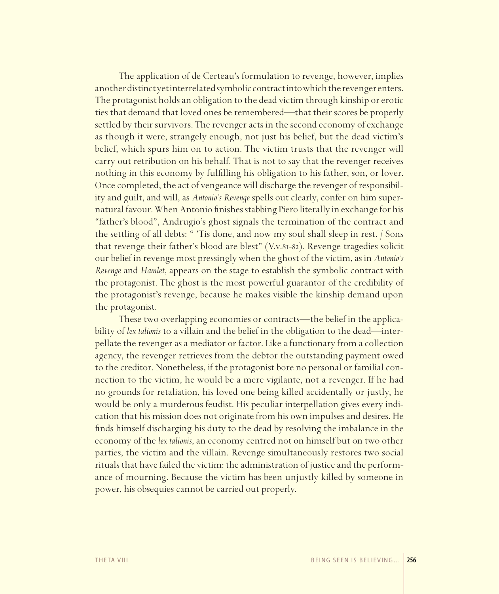The application of de Certeau's formulation to revenge, however, implies another distinct yet interrelated symbolic contract into which the revenger enters. The protagonist holds an obligation to the dead victim through kinship or erotic ties that demand that loved ones be remembered—that their scores be properly settled by their survivors. The revenger acts in the second economy of exchange as though it were, strangely enough, not just his belief, but the dead victim's belief, which spurs him on to action. The victim trusts that the revenger will carry out retribution on his behalf. That is not to say that the revenger receives nothing in this economy by fulfilling his obligation to his father, son, or lover. Once completed, the act of vengeance will discharge the revenger of responsibility and guilt, and will, as *Antonio's Revenge* spells out clearly, confer on him supernatural favour. When Antonio finishes stabbing Piero literally in exchange for his "father's blood", Andrugio's ghost signals the termination of the contract and the settling of all debts: " 'Tis done, and now my soul shall sleep in rest. / Sons that revenge their father's blood are blest" (V.v.81-82). Revenge tragedies solicit our belief in revenge most pressingly when the ghost of the victim, as in *Antonio's Revenge* and *Hamlet*, appears on the stage to establish the symbolic contract with the protagonist. The ghost is the most powerful guarantor of the credibility of the protagonist's revenge, because he makes visible the kinship demand upon the protagonist.

These two overlapping economies or contracts—the belief in the applicability of *lex talionis* to a villain and the belief in the obligation to the dead—interpellate the revenger as a mediator or factor. Like a functionary from a collection agency, the revenger retrieves from the debtor the outstanding payment owed to the creditor. Nonetheless, if the protagonist bore no personal or familial connection to the victim, he would be a mere vigilante, not a revenger. If he had no grounds for retaliation, his loved one being killed accidentally or justly, he would be only a murderous feudist. His peculiar interpellation gives every indication that his mission does not originate from his own impulses and desires. He finds himself discharging his duty to the dead by resolving the imbalance in the economy of the *lex talionis*, an economy centred not on himself but on two other parties, the victim and the villain. Revenge simultaneously restores two social rituals that have failed the victim: the administration of justice and the performance of mourning. Because the victim has been unjustly killed by someone in power, his obsequies cannot be carried out properly.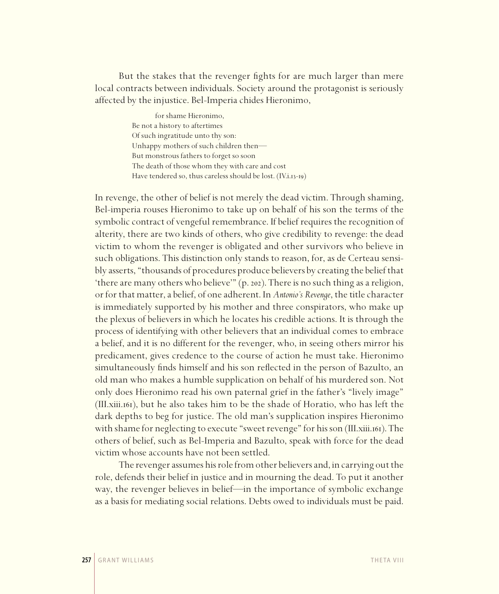But the stakes that the revenger fights for are much larger than mere local contracts between individuals. Society around the protagonist is seriously affected by the injustice. Bel-Imperia chides Hieronimo,

> for shame Hieronimo, Be not a history to aftertimes Of such ingratitude unto thy son: Unhappy mothers of such children then— But monstrous fathers to forget so soon The death of those whom they with care and cost Have tendered so, thus careless should be lost. (IV.i.13-19)

In revenge, the other of belief is not merely the dead victim. Through shaming, Bel-imperia rouses Hieronimo to take up on behalf of his son the terms of the symbolic contract of vengeful remembrance. If belief requires the recognition of alterity, there are two kinds of others, who give credibility to revenge: the dead victim to whom the revenger is obligated and other survivors who believe in such obligations. This distinction only stands to reason, for, as de Certeau sensibly asserts, "thousands of procedures produce believers by creating the belief that 'there are many others who believe'" (p. 202). There is no such thing as a religion, or for that matter, a belief, of one adherent. In *Antonio's Revenge*, the title character is immediately supported by his mother and three conspirators, who make up the plexus of believers in which he locates his credible actions. It is through the process of identifying with other believers that an individual comes to embrace a belief, and it is no different for the revenger, who, in seeing others mirror his predicament, gives credence to the course of action he must take. Hieronimo simultaneously finds himself and his son reflected in the person of Bazulto, an old man who makes a humble supplication on behalf of his murdered son. Not only does Hieronimo read his own paternal grief in the father's "lively image" (III.xiii.161), but he also takes him to be the shade of Horatio, who has left the dark depths to beg for justice. The old man's supplication inspires Hieronimo with shame for neglecting to execute "sweet revenge" for his son (III.xiii.161). The others of belief, such as Bel-Imperia and Bazulto, speak with force for the dead victim whose accounts have not been settled.

The revenger assumes his role from other believers and, in carrying out the role, defends their belief in justice and in mourning the dead. To put it another way, the revenger believes in belief—in the importance of symbolic exchange as a basis for mediating social relations. Debts owed to individuals must be paid.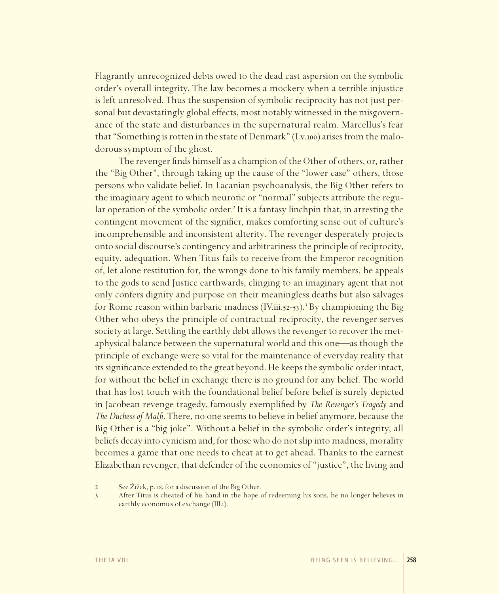Flagrantly unrecognized debts owed to the dead cast aspersion on the symbolic order's overall integrity. The law becomes a mockery when a terrible injustice is left unresolved. Thus the suspension of symbolic reciprocity has not just personal but devastatingly global effects, most notably witnessed in the misgovernance of the state and disturbances in the supernatural realm. Marcellus's fear that "Something is rotten in the state of Denmark" (I.v.100) arises from the malodorous symptom of the ghost.

The revenger finds himself as a champion of the Other of others, or, rather the "Big Other", through taking up the cause of the "lower case" others, those persons who validate belief. In Lacanian psychoanalysis, the Big Other refers to the imaginary agent to which neurotic or "normal" subjects attribute the regular operation of the symbolic order.<sup>2</sup> It is a fantasy linchpin that, in arresting the contingent movement of the signifier, makes comforting sense out of culture's incomprehensible and inconsistent alterity. The revenger desperately projects onto social discourse's contingency and arbitrariness the principle of reciprocity, equity, adequation. When Titus fails to receive from the Emperor recognition of, let alone restitution for, the wrongs done to his family members, he appeals to the gods to send Justice earthwards, clinging to an imaginary agent that not only confers dignity and purpose on their meaningless deaths but also salvages for Rome reason within barbaric madness (IV.iii.52-53).<sup>3</sup> By championing the Big Other who obeys the principle of contractual reciprocity, the revenger serves society at large. Settling the earthly debt allows the revenger to recover the metaphysical balance between the supernatural world and this one—as though the principle of exchange were so vital for the maintenance of everyday reality that its significance extended to the great beyond. He keeps the symbolic order intact, for without the belief in exchange there is no ground for any belief. The world that has lost touch with the foundational belief before belief is surely depicted in Jacobean revenge tragedy, famously exemplified by *The Revenger's Tragedy* and *The Duchess of Malfi*. There, no one seems to believe in belief anymore, because the Big Other is a "big joke". Without a belief in the symbolic order's integrity, all beliefs decay into cynicism and, for those who do not slip into madness, morality becomes a game that one needs to cheat at to get ahead. Thanks to the earnest Elizabethan revenger, that defender of the economies of "justice", the living and

<sup>2</sup> See Žižek, p. 18, for a discussion of the Big Other.

<sup>3</sup> After Titus is cheated of his hand in the hope of redeeming his sons, he no longer believes in earthly economies of exchange (III.i).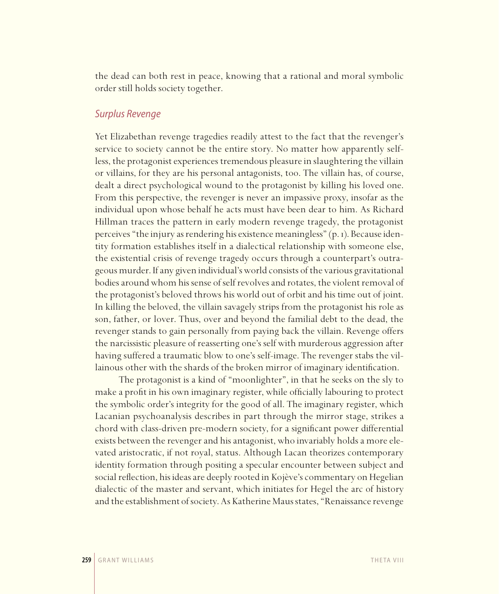the dead can both rest in peace, knowing that a rational and moral symbolic order still holds society together.

#### *Surplus Revenge*

Yet Elizabethan revenge tragedies readily attest to the fact that the revenger's service to society cannot be the entire story. No matter how apparently selfless, the protagonist experiences tremendous pleasure in slaughtering the villain or villains, for they are his personal antagonists, too. The villain has, of course, dealt a direct psychological wound to the protagonist by killing his loved one. From this perspective, the revenger is never an impassive proxy, insofar as the individual upon whose behalf he acts must have been dear to him. As Richard Hillman traces the pattern in early modern revenge tragedy, the protagonist perceives "the injury as rendering his existence meaningless" (p. 1). Because identity formation establishes itself in a dialectical relationship with someone else, the existential crisis of revenge tragedy occurs through a counterpart's outrageous murder. If any given individual's world consists of the various gravitational bodies around whom his sense of self revolves and rotates, the violent removal of the protagonist's beloved throws his world out of orbit and his time out of joint. In killing the beloved, the villain savagely strips from the protagonist his role as son, father, or lover. Thus, over and beyond the familial debt to the dead, the revenger stands to gain personally from paying back the villain. Revenge offers the narcissistic pleasure of reasserting one's self with murderous aggression after having suffered a traumatic blow to one's self-image. The revenger stabs the villainous other with the shards of the broken mirror of imaginary identification.

The protagonist is a kind of "moonlighter", in that he seeks on the sly to make a profit in his own imaginary register, while officially labouring to protect the symbolic order's integrity for the good of all. The imaginary register, which Lacanian psychoanalysis describes in part through the mirror stage, strikes a chord with class-driven pre-modern society, for a significant power differential exists between the revenger and his antagonist, who invariably holds a more elevated aristocratic, if not royal, status. Although Lacan theorizes contemporary identity formation through positing a specular encounter between subject and social reflection, his ideas are deeply rooted in Kojève's commentary on Hegelian dialectic of the master and servant, which initiates for Hegel the arc of history and the establishment of society. As Katherine Maus states, "Renaissance revenge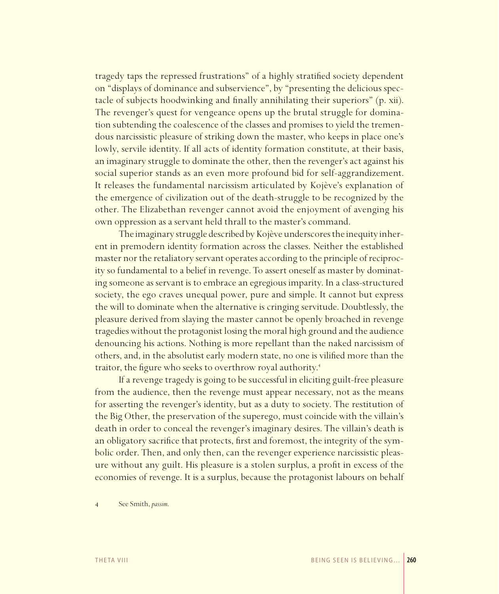tragedy taps the repressed frustrations" of a highly stratified society dependent on "displays of dominance and subservience", by "presenting the delicious spectacle of subjects hoodwinking and finally annihilating their superiors" (p. xii). The revenger's quest for vengeance opens up the brutal struggle for domination subtending the coalescence of the classes and promises to yield the tremendous narcissistic pleasure of striking down the master, who keeps in place one's lowly, servile identity. If all acts of identity formation constitute, at their basis, an imaginary struggle to dominate the other, then the revenger's act against his social superior stands as an even more profound bid for self-aggrandizement. It releases the fundamental narcissism articulated by Kojève's explanation of the emergence of civilization out of the death-struggle to be recognized by the other. The Elizabethan revenger cannot avoid the enjoyment of avenging his own oppression as a servant held thrall to the master's command.

The imaginary struggle described by Kojève underscores the inequity inherent in premodern identity formation across the classes. Neither the established master nor the retaliatory servant operates according to the principle of reciprocity so fundamental to a belief in revenge. To assert oneself as master by dominating someone as servant is to embrace an egregious imparity. In a class-structured society, the ego craves unequal power, pure and simple. It cannot but express the will to dominate when the alternative is cringing servitude. Doubtlessly, the pleasure derived from slaying the master cannot be openly broached in revenge tragedies without the protagonist losing the moral high ground and the audience denouncing his actions. Nothing is more repellant than the naked narcissism of others, and, in the absolutist early modern state, no one is vilified more than the traitor, the figure who seeks to overthrow royal authority.<sup>4</sup>

If a revenge tragedy is going to be successful in eliciting guilt-free pleasure from the audience, then the revenge must appear necessary, not as the means for asserting the revenger's identity, but as a duty to society. The restitution of the Big Other, the preservation of the superego, must coincide with the villain's death in order to conceal the revenger's imaginary desires. The villain's death is an obligatory sacrifice that protects, first and foremost, the integrity of the symbolic order. Then, and only then, can the revenger experience narcissistic pleasure without any guilt. His pleasure is a stolen surplus, a profit in excess of the economies of revenge. It is a surplus, because the protagonist labours on behalf

4 See Smith, *passim*.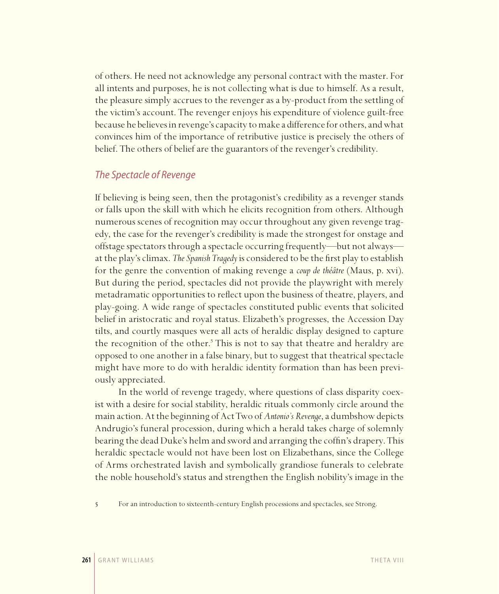of others. He need not acknowledge any personal contract with the master. For all intents and purposes, he is not collecting what is due to himself. As a result, the pleasure simply accrues to the revenger as a by-product from the settling of the victim's account. The revenger enjoys his expenditure of violence guilt-free because he believes in revenge's capacity to make a difference for others, and what convinces him of the importance of retributive justice is precisely the others of belief. The others of belief are the guarantors of the revenger's credibility.

#### *The Spectacle of Revenge*

If believing is being seen, then the protagonist's credibility as a revenger stands or falls upon the skill with which he elicits recognition from others. Although numerous scenes of recognition may occur throughout any given revenge tragedy, the case for the revenger's credibility is made the strongest for onstage and offstage spectators through a spectacle occurring frequently—but not always at the play's climax. *The Spanish Tragedy* is considered to be the first play to establish for the genre the convention of making revenge a *coup de théâtre* (Maus, p. xvi). But during the period, spectacles did not provide the playwright with merely metadramatic opportunities to reflect upon the business of theatre, players, and play-going. A wide range of spectacles constituted public events that solicited belief in aristocratic and royal status. Elizabeth's progresses, the Accession Day tilts, and courtly masques were all acts of heraldic display designed to capture the recognition of the other.<sup>5</sup> This is not to say that theatre and heraldry are opposed to one another in a false binary, but to suggest that theatrical spectacle might have more to do with heraldic identity formation than has been previously appreciated.

In the world of revenge tragedy, where questions of class disparity coexist with a desire for social stability, heraldic rituals commonly circle around the main action. At the beginning of Act Two of *Antonio's Revenge*, a dumbshow depicts Andrugio's funeral procession, during which a herald takes charge of solemnly bearing the dead Duke's helm and sword and arranging the coffin's drapery. This heraldic spectacle would not have been lost on Elizabethans, since the College of Arms orchestrated lavish and symbolically grandiose funerals to celebrate the noble household's status and strengthen the English nobility's image in the

5 For an introduction to sixteenth-century English processions and spectacles, see Strong.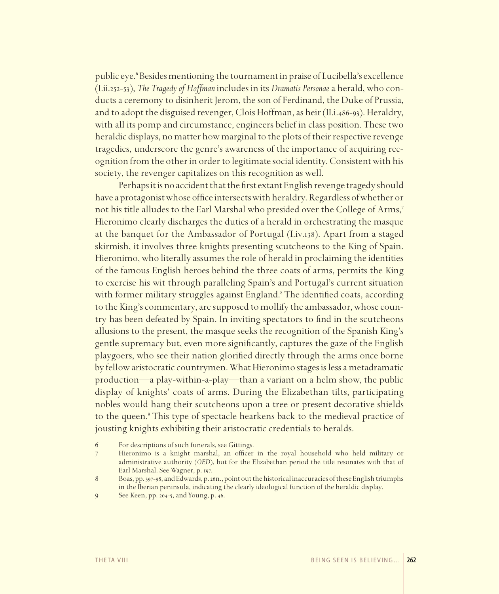public eye.<sup>6</sup> Besides mentioning the tournament in praise of Lucibella's excellence (I.ii.252-53), *The Tragedy of Hoffman* includes in its *Dramatis Personae* a herald, who conducts a ceremony to disinherit Jerom, the son of Ferdinand, the Duke of Prussia, and to adopt the disguised revenger, Clois Hoffman, as heir (II.i.486-93). Heraldry, with all its pomp and circumstance, engineers belief in class position. These two heraldic displays, no matter how marginal to the plots of their respective revenge tragedies, underscore the genre's awareness of the importance of acquiring recognition from the other in order to legitimate social identity. Consistent with his society, the revenger capitalizes on this recognition as well.

Perhaps it is no accident that the first extant English revenge tragedy should have a protagonist whose office intersects with heraldry. Regardless of whether or not his title alludes to the Earl Marshal who presided over the College of Arms,<sup>7</sup> Hieronimo clearly discharges the duties of a herald in orchestrating the masque at the banquet for the Ambassador of Portugal (I.iv.138). Apart from a staged skirmish, it involves three knights presenting scutcheons to the King of Spain. Hieronimo, who literally assumes the role of herald in proclaiming the identities of the famous English heroes behind the three coats of arms, permits the King to exercise his wit through paralleling Spain's and Portugal's current situation with former military struggles against England.<sup>8</sup> The identified coats, according to the King's commentary, are supposed to mollify the ambassador, whose country has been defeated by Spain. In inviting spectators to find in the scutcheons allusions to the present, the masque seeks the recognition of the Spanish King's gentle supremacy but, even more significantly, captures the gaze of the English playgoers, who see their nation glorified directly through the arms once borne by fellow aristocratic countrymen. What Hieronimo stages is less a metadramatic production—a play-within-a-play—than a variant on a helm show, the public display of knights' coats of arms. During the Elizabethan tilts, participating nobles would hang their scutcheons upon a tree or present decorative shields to the queen.<sup>9</sup> This type of spectacle hearkens back to the medieval practice of jousting knights exhibiting their aristocratic credentials to heralds.

<sup>6</sup> For descriptions of such funerals, see Gittings.

<sup>7</sup> Hieronimo is a knight marshal, an officer in the royal household who held military or administrative authority (*OED*), but for the Elizabethan period the title resonates with that of Earl Marshal. See Wagner, p. 197.

<sup>8</sup> Boas, pp. 397-98, and Edwards, p. 26n., point out the historical inaccuracies of these English triumphs in the Iberian peninsula, indicating the clearly ideological function of the heraldic display.

<sup>9</sup> See Keen, pp. 204-5, and Young, p. 46.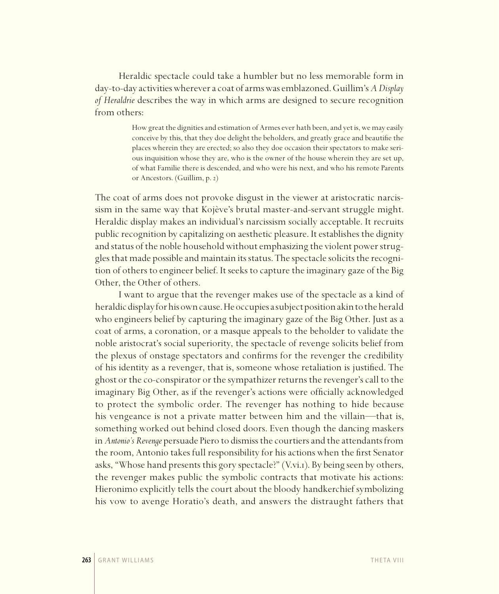Heraldic spectacle could take a humbler but no less memorable form in day-to-day activities wherever a coat of arms was emblazoned. Guillim's *A Display of Heraldrie* describes the way in which arms are designed to secure recognition from others:

> How great the dignities and estimation of Armes ever hath been, and yet is, we may easily conceive by this, that they doe delight the beholders, and greatly grace and beautifie the places wherein they are erected; so also they doe occasion their spectators to make serious inquisition whose they are, who is the owner of the house wherein they are set up, of what Familie there is descended, and who were his next, and who his remote Parents or Ancestors. (Guillim, p. 2)

The coat of arms does not provoke disgust in the viewer at aristocratic narcissism in the same way that Kojève's brutal master-and-servant struggle might. Heraldic display makes an individual's narcissism socially acceptable. It recruits public recognition by capitalizing on aesthetic pleasure. It establishes the dignity and status of the noble household without emphasizing the violent power struggles that made possible and maintain its status. The spectacle solicits the recognition of others to engineer belief. It seeks to capture the imaginary gaze of the Big Other, the Other of others.

I want to argue that the revenger makes use of the spectacle as a kind of heraldic display for his own cause. He occupies a subject position akin to the herald who engineers belief by capturing the imaginary gaze of the Big Other. Just as a coat of arms, a coronation, or a masque appeals to the beholder to validate the noble aristocrat's social superiority, the spectacle of revenge solicits belief from the plexus of onstage spectators and confirms for the revenger the credibility of his identity as a revenger, that is, someone whose retaliation is justified. The ghost or the co-conspirator or the sympathizer returns the revenger's call to the imaginary Big Other, as if the revenger's actions were officially acknowledged to protect the symbolic order. The revenger has nothing to hide because his vengeance is not a private matter between him and the villain—that is, something worked out behind closed doors. Even though the dancing maskers in *Antonio's Revenge* persuade Piero to dismiss the courtiers and the attendants from the room, Antonio takes full responsibility for his actions when the first Senator asks, "Whose hand presents this gory spectacle?" (V.vi.1). By being seen by others, the revenger makes public the symbolic contracts that motivate his actions: Hieronimo explicitly tells the court about the bloody handkerchief symbolizing his vow to avenge Horatio's death, and answers the distraught fathers that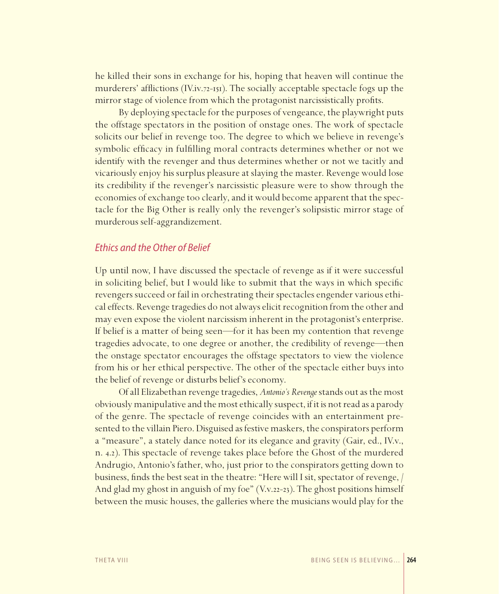he killed their sons in exchange for his, hoping that heaven will continue the murderers' afflictions (IV.iv.72-151). The socially acceptable spectacle fogs up the mirror stage of violence from which the protagonist narcissistically profits.

By deploying spectacle for the purposes of vengeance, the playwright puts the offstage spectators in the position of onstage ones. The work of spectacle solicits our belief in revenge too. The degree to which we believe in revenge's symbolic efficacy in fulfilling moral contracts determines whether or not we identify with the revenger and thus determines whether or not we tacitly and vicariously enjoy his surplus pleasure at slaying the master. Revenge would lose its credibility if the revenger's narcissistic pleasure were to show through the economies of exchange too clearly, and it would become apparent that the spectacle for the Big Other is really only the revenger's solipsistic mirror stage of murderous self-aggrandizement.

#### *Ethics and the Other of Belief*

Up until now, I have discussed the spectacle of revenge as if it were successful in soliciting belief, but I would like to submit that the ways in which specific revengers succeed or fail in orchestrating their spectacles engender various ethical effects. Revenge tragedies do not always elicit recognition from the other and may even expose the violent narcissism inherent in the protagonist's enterprise. If belief is a matter of being seen—for it has been my contention that revenge tragedies advocate, to one degree or another, the credibility of revenge—then the onstage spectator encourages the offstage spectators to view the violence from his or her ethical perspective. The other of the spectacle either buys into the belief of revenge or disturbs belief's economy.

Of all Elizabethan revenge tragedies, *Antonio's Revenge* stands out as the most obviously manipulative and the most ethically suspect, if it is not read as a parody of the genre. The spectacle of revenge coincides with an entertainment presented to the villain Piero. Disguised as festive maskers, the conspirators perform a "measure", a stately dance noted for its elegance and gravity (Gair, ed., IV.v., n. 4.2). This spectacle of revenge takes place before the Ghost of the murdered Andrugio, Antonio's father, who, just prior to the conspirators getting down to business, finds the best seat in the theatre: "Here will I sit, spectator of revenge,  $/$ And glad my ghost in anguish of my foe" (V.v.22-23). The ghost positions himself between the music houses, the galleries where the musicians would play for the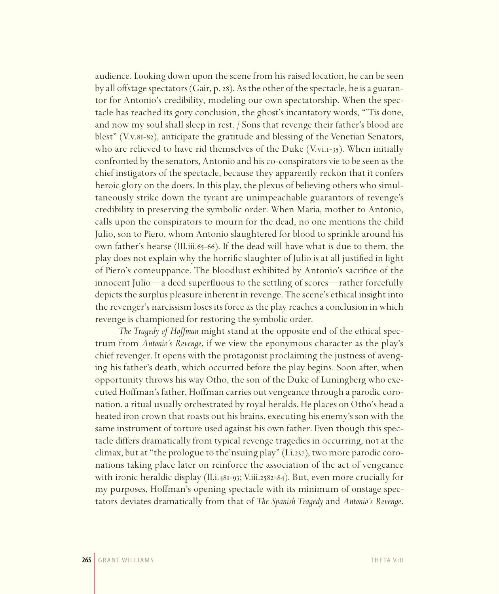audience. Looking down upon the scene from his raised location, he can be seen by all offstage spectators (Gair, p. 28). As the other of the spectacle, he is a guarantor for Antonio's credibility, modeling our own spectatorship. When the spectacle has reached its gory conclusion, the ghost's incantatory words, "'Tis done, and now my soul shall sleep in rest. / Sons that revenge their father's blood are blest" (V.v.81-82), anticipate the gratitude and blessing of the Venetian Senators, who are relieved to have rid themselves of the Duke  $(V.vi.1-35)$ . When initially confronted by the senators, Antonio and his co-conspirators vie to be seen as the chief instigators of the spectacle, because they apparently reckon that it confers heroic glory on the doers. In this play, the plexus of believing others who simultaneously strike down the tyrant are unimpeachable guarantors of revenge's credibility in preserving the symbolic order. When Maria, mother to Antonio, calls upon the conspirators to mourn for the dead, no one mentions the child Julio, son to Piero, whom Antonio slaughtered for blood to sprinkle around his own father's hearse (III.iii.65-66). If the dead will have what is due to them, the play does not explain why the horrific slaughter of Julio is at all justified in light of Piero's comeuppance. The bloodlust exhibited by Antonio's sacrifice of the innocent Julio—a deed superfluous to the settling of scores—rather forcefully depicts the surplus pleasure inherent in revenge. The scene's ethical insight into the revenger's narcissism loses its force as the play reaches a conclusion in which revenge is championed for restoring the symbolic order.

*The Tragedy of Hoffman* might stand at the opposite end of the ethical spectrum from *Antonio's Revenge*, if we view the eponymous character as the play's chief revenger. It opens with the protagonist proclaiming the justness of avenging his father's death, which occurred before the play begins. Soon after, when opportunity throws his way Otho, the son of the Duke of Luningberg who executed Hoffman's father, Hoffman carries out vengeance through a parodic coronation, a ritual usually orchestrated by royal heralds. He places on Otho's head a heated iron crown that roasts out his brains, executing his enemy's son with the same instrument of torture used against his own father. Even though this spectacle differs dramatically from typical revenge tragedies in occurring, not at the climax, but at "the prologue to the'nsuing play" (I.i.237), two more parodic coronations taking place later on reinforce the association of the act of vengeance with ironic heraldic display (II.i.481-93; V.iii.2582-84). But, even more crucially for my purposes, Hoffman's opening spectacle with its minimum of onstage spectators deviates dramatically from that of *The Spanish Tragedy* and *Antonio's Revenge*.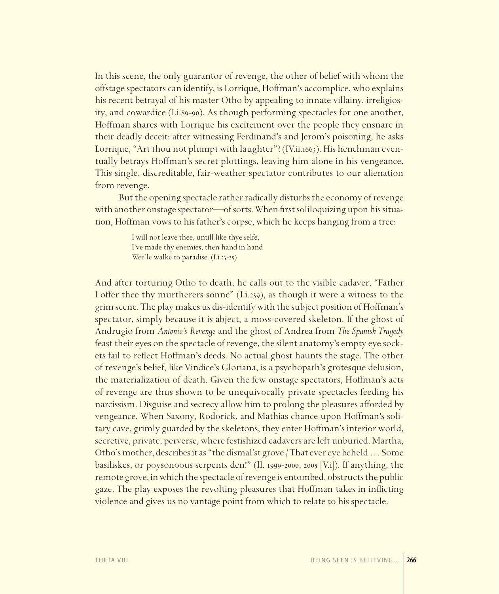In this scene, the only guarantor of revenge, the other of belief with whom the offstage spectators can identify, is Lorrique, Hoffman's accomplice, who explains his recent betrayal of his master Otho by appealing to innate villainy, irreligiosity, and cowardice (I.i.89-90). As though performing spectacles for one another, Hoffman shares with Lorrique his excitement over the people they ensnare in their deadly deceit: after witnessing Ferdinand's and Jerom's poisoning, he asks Lorrique, "Art thou not plumpt with laughter"? (IV.ii.1663). His henchman eventually betrays Hoffman's secret plottings, leaving him alone in his vengeance. This single, discreditable, fair-weather spectator contributes to our alienation from revenge.

But the opening spectacle rather radically disturbs the economy of revenge with another onstage spectator—of sorts. When first soliloquizing upon his situation, Hoffman vows to his father's corpse, which he keeps hanging from a tree:

> I will not leave thee, untill like thye selfe, I've made thy enemies, then hand in hand Wee'le walke to paradise. (I.i.23-25)

And after torturing Otho to death, he calls out to the visible cadaver, "Father I offer thee thy murtherers sonne" (I.i.239), as though it were a witness to the grim scene. The play makes us dis-identify with the subject position of Hoffman's spectator, simply because it is abject, a moss-covered skeleton. If the ghost of Andrugio from *Antonio's Revenge* and the ghost of Andrea from *The Spanish Tragedy* feast their eyes on the spectacle of revenge, the silent anatomy's empty eye sockets fail to reflect Hoffman's deeds. No actual ghost haunts the stage. The other of revenge's belief, like Vindice's Gloriana, is a psychopath's grotesque delusion, the materialization of death. Given the few onstage spectators, Hoffman's acts of revenge are thus shown to be unequivocally private spectacles feeding his narcissism. Disguise and secrecy allow him to prolong the pleasures afforded by vengeance. When Saxony, Rodorick, and Mathias chance upon Hoffman's solitary cave, grimly guarded by the skeletons, they enter Hoffman's interior world, secretive, private, perverse, where festishized cadavers are left unburied. Martha, Otho's mother, describes it as "the dismal'st grove / That ever eye beheld … Some basiliskes, or poysonoous serpents den!" (ll. 1999-2000, 2005 [V.i]). If anything, the remote grove, in which the spectacle of revenge is entombed, obstructs the public gaze. The play exposes the revolting pleasures that Hoffman takes in inflicting violence and gives us no vantage point from which to relate to his spectacle.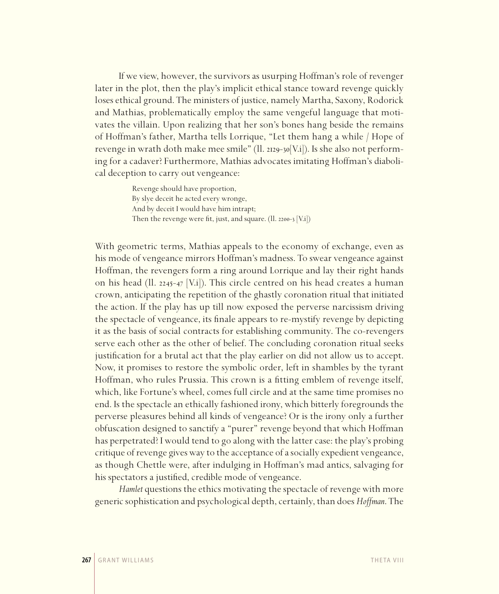If we view, however, the survivors as usurping Hoffman's role of revenger later in the plot, then the play's implicit ethical stance toward revenge quickly loses ethical ground. The ministers of justice, namely Martha, Saxony, Rodorick and Mathias, problematically employ the same vengeful language that motivates the villain. Upon realizing that her son's bones hang beside the remains of Hoffman's father, Martha tells Lorrique, "Let them hang a while / Hope of revenge in wrath doth make mee smile" (ll. 2129-30[V.i]). Is she also not performing for a cadaver? Furthermore, Mathias advocates imitating Hoffman's diabolical deception to carry out vengeance:

> Revenge should have proportion, By slye deceit he acted every wronge, And by deceit I would have him intrapt; Then the revenge were fit, just, and square. (Il. 2200-3 [V.i])

With geometric terms, Mathias appeals to the economy of exchange, even as his mode of vengeance mirrors Hoffman's madness. To swear vengeance against Hoffman, the revengers form a ring around Lorrique and lay their right hands on his head (ll. 2245-47 [V.i]). This circle centred on his head creates a human crown, anticipating the repetition of the ghastly coronation ritual that initiated the action. If the play has up till now exposed the perverse narcissism driving the spectacle of vengeance, its finale appears to re-mystify revenge by depicting it as the basis of social contracts for establishing community. The co-revengers serve each other as the other of belief. The concluding coronation ritual seeks justification for a brutal act that the play earlier on did not allow us to accept. Now, it promises to restore the symbolic order, left in shambles by the tyrant Hoffman, who rules Prussia. This crown is a fitting emblem of revenge itself, which, like Fortune's wheel, comes full circle and at the same time promises no end. Is the spectacle an ethically fashioned irony, which bitterly foregrounds the perverse pleasures behind all kinds of vengeance? Or is the irony only a further obfuscation designed to sanctify a "purer" revenge beyond that which Hoffman has perpetrated? I would tend to go along with the latter case: the play's probing critique of revenge gives way to the acceptance of a socially expedient vengeance, as though Chettle were, after indulging in Hoffman's mad antics, salvaging for his spectators a justified, credible mode of vengeance.

*Hamlet* questions the ethics motivating the spectacle of revenge with more generic sophistication and psychological depth, certainly, than does *Hoffman*. The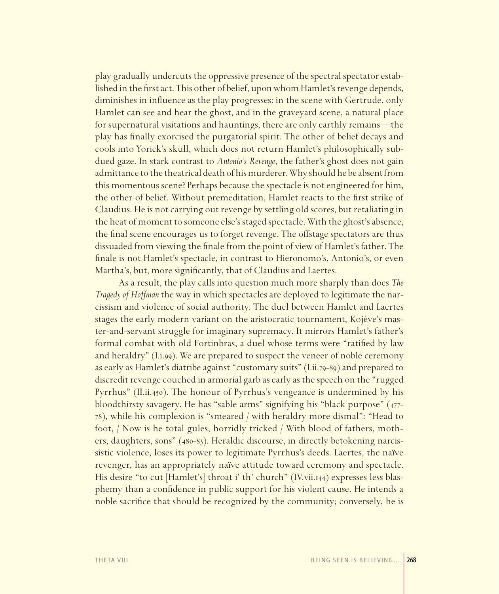play gradually undercuts the oppressive presence of the spectral spectator established in the first act. This other of belief, upon whom Hamlet's revenge depends, diminishes in influence as the play progresses: in the scene with Gertrude, only Hamlet can see and hear the ghost, and in the graveyard scene, a natural place for supernatural visitations and hauntings, there are only earthly remains—the play has finally exorcised the purgatorial spirit. The other of belief decays and cools into Yorick's skull, which does not return Hamlet's philosophically subdued gaze. In stark contrast to *Antonio's Revenge*, the father's ghost does not gain admittance to the theatrical death of his murderer. Why should he be absent from this momentous scene? Perhaps because the spectacle is not engineered for him, the other of belief. Without premeditation, Hamlet reacts to the first strike of Claudius. He is not carrying out revenge by settling old scores, but retaliating in the heat of moment to someone else's staged spectacle. With the ghost's absence, the final scene encourages us to forget revenge. The offstage spectators are thus dissuaded from viewing the finale from the point of view of Hamlet's father. The finale is not Hamlet's spectacle, in contrast to Hieronomo's, Antonio's, or even Martha's, but, more significantly, that of Claudius and Laertes.

As a result, the play calls into question much more sharply than does *The Tragedy of Hoffman* the way in which spectacles are deployed to legitimate the narcissism and violence of social authority. The duel between Hamlet and Laertes stages the early modern variant on the aristocratic tournament, Kojève's master-and-servant struggle for imaginary supremacy. It mirrors Hamlet's father's formal combat with old Fortinbras, a duel whose terms were "ratified by law and heraldry" (I.i.99). We are prepared to suspect the veneer of noble ceremony as early as Hamlet's diatribe against "customary suits" (I.ii.79-89) and prepared to discredit revenge couched in armorial garb as early as the speech on the "rugged Pyrrhus" (II.ii.450). The honour of Pyrrhus's vengeance is undermined by his bloodthirsty savagery. He has "sable arms" signifying his "black purpose" (477- 78), while his complexion is "smeared / with heraldry more dismal": "Head to foot, / Now is he total gules, horridly tricked / With blood of fathers, mothers, daughters, sons" (480-83). Heraldic discourse, in directly betokening narcissistic violence, loses its power to legitimate Pyrrhus's deeds. Laertes, the naïve revenger, has an appropriately naïve attitude toward ceremony and spectacle. His desire "to cut [Hamlet's] throat i' th' church" (IV.vii.144) expresses less blasphemy than a confidence in public support for his violent cause. He intends a noble sacrifice that should be recognized by the community; conversely, he is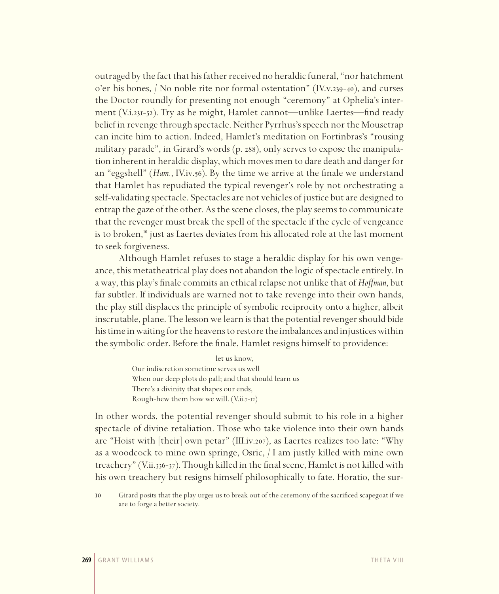outraged by the fact that his father received no heraldic funeral, "nor hatchment o'er his bones, / No noble rite nor formal ostentation" (IV.v.239-40), and curses the Doctor roundly for presenting not enough "ceremony" at Ophelia's interment (V.i.231-52). Try as he might, Hamlet cannot—unlike Laertes—find ready belief in revenge through spectacle. Neither Pyrrhus's speech nor the Mousetrap can incite him to action. Indeed, Hamlet's meditation on Fortinbras's "rousing military parade", in Girard's words (p. 288), only serves to expose the manipulation inherent in heraldic display, which moves men to dare death and danger for an "eggshell" (*Ham.*, IV.iv.56). By the time we arrive at the finale we understand that Hamlet has repudiated the typical revenger's role by not orchestrating a self-validating spectacle. Spectacles are not vehicles of justice but are designed to entrap the gaze of the other. As the scene closes, the play seems to communicate that the revenger must break the spell of the spectacle if the cycle of vengeance is to broken, $10$  just as Laertes deviates from his allocated role at the last moment to seek forgiveness.

Although Hamlet refuses to stage a heraldic display for his own vengeance, this metatheatrical play does not abandon the logic of spectacle entirely. In a way, this play's finale commits an ethical relapse not unlike that of *Hoffman*, but far subtler. If individuals are warned not to take revenge into their own hands, the play still displaces the principle of symbolic reciprocity onto a higher, albeit inscrutable, plane. The lesson we learn is that the potential revenger should bide his time in waiting for the heavens to restore the imbalances and injustices within the symbolic order. Before the finale, Hamlet resigns himself to providence:

> let us know, Our indiscretion sometime serves us well When our deep plots do pall; and that should learn us There's a divinity that shapes our ends, Rough-hew them how we will. (V.ii.7-12)

In other words, the potential revenger should submit to his role in a higher spectacle of divine retaliation. Those who take violence into their own hands are "Hoist with  $\vert$  their $\vert$  own petar" (III.iv.207), as Laertes realizes too late: "Why as a woodcock to mine own springe, Osric, / I am justly killed with mine own treachery" (V.ii.336-37). Though killed in the final scene, Hamlet is not killed with his own treachery but resigns himself philosophically to fate. Horatio, the sur-

10 Girard posits that the play urges us to break out of the ceremony of the sacrificed scapegoat if we are to forge a better society.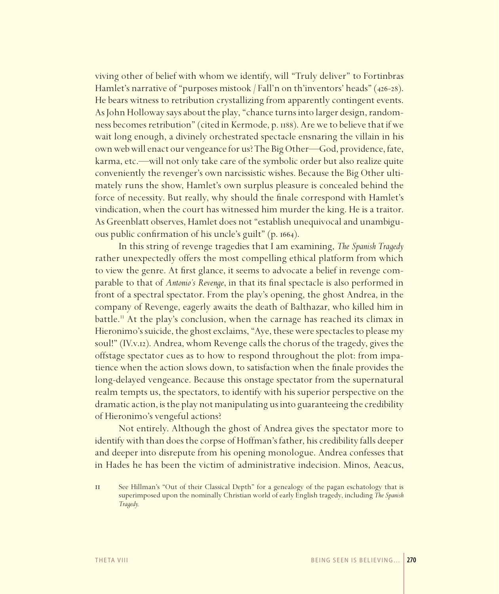viving other of belief with whom we identify, will "Truly deliver" to Fortinbras Hamlet's narrative of "purposes mistook / Fall'n on th'inventors' heads" (426-28). He bears witness to retribution crystallizing from apparently contingent events. As John Holloway says about the play, "chance turns into larger design, randomness becomes retribution" (cited in Kermode, p. 1188). Are we to believe that if we wait long enough, a divinely orchestrated spectacle ensnaring the villain in his own web will enact our vengeance for us? The Big Other—God, providence, fate, karma, etc.—will not only take care of the symbolic order but also realize quite conveniently the revenger's own narcissistic wishes. Because the Big Other ultimately runs the show, Hamlet's own surplus pleasure is concealed behind the force of necessity. But really, why should the finale correspond with Hamlet's vindication, when the court has witnessed him murder the king. He is a traitor. As Greenblatt observes, Hamlet does not "establish unequivocal and unambiguous public confirmation of his uncle's guilt" (p. 1664).

In this string of revenge tragedies that I am examining, *The Spanish Tragedy* rather unexpectedly offers the most compelling ethical platform from which to view the genre. At first glance, it seems to advocate a belief in revenge comparable to that of *Antonio's Revenge*, in that its final spectacle is also performed in front of a spectral spectator. From the play's opening, the ghost Andrea, in the company of Revenge, eagerly awaits the death of Balthazar, who killed him in battle.<sup>11</sup> At the play's conclusion, when the carnage has reached its climax in Hieronimo's suicide, the ghost exclaims, "Aye, these were spectacles to please my soul!" (IV.v.12). Andrea, whom Revenge calls the chorus of the tragedy, gives the offstage spectator cues as to how to respond throughout the plot: from impatience when the action slows down, to satisfaction when the finale provides the long-delayed vengeance. Because this onstage spectator from the supernatural realm tempts us, the spectators, to identify with his superior perspective on the dramatic action, is the play not manipulating us into guaranteeing the credibility of Hieronimo's vengeful actions?

Not entirely. Although the ghost of Andrea gives the spectator more to identify with than does the corpse of Hoffman's father, his credibility falls deeper and deeper into disrepute from his opening monologue. Andrea confesses that in Hades he has been the victim of administrative indecision. Minos, Aeacus,

11 See Hillman's "Out of their Classical Depth" for a genealogy of the pagan eschatology that is superimposed upon the nominally Christian world of early English tragedy, including *The Spanish Tragedy.*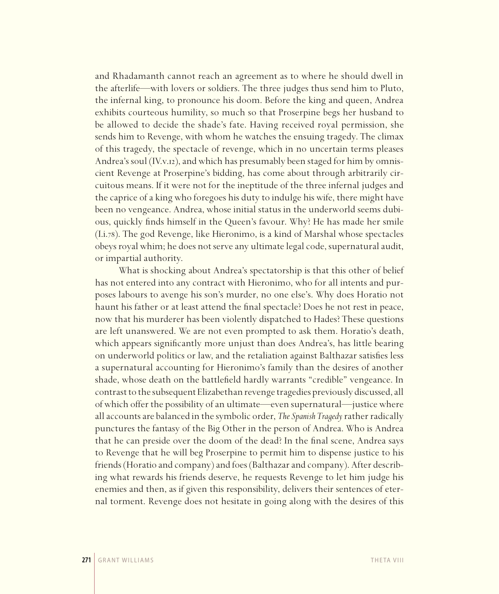and Rhadamanth cannot reach an agreement as to where he should dwell in the afterlife—with lovers or soldiers. The three judges thus send him to Pluto, the infernal king, to pronounce his doom. Before the king and queen, Andrea exhibits courteous humility, so much so that Proserpine begs her husband to be allowed to decide the shade's fate. Having received royal permission, she sends him to Revenge, with whom he watches the ensuing tragedy. The climax of this tragedy, the spectacle of revenge, which in no uncertain terms pleases Andrea's soul (IV.v.12), and which has presumably been staged for him by omniscient Revenge at Proserpine's bidding, has come about through arbitrarily circuitous means. If it were not for the ineptitude of the three infernal judges and the caprice of a king who foregoes his duty to indulge his wife, there might have been no vengeance. Andrea, whose initial status in the underworld seems dubious, quickly finds himself in the Queen's favour. Why? He has made her smile (I.i.78). The god Revenge, like Hieronimo, is a kind of Marshal whose spectacles obeys royal whim; he does not serve any ultimate legal code, supernatural audit, or impartial authority.

What is shocking about Andrea's spectatorship is that this other of belief has not entered into any contract with Hieronimo, who for all intents and purposes labours to avenge his son's murder, no one else's. Why does Horatio not haunt his father or at least attend the final spectacle? Does he not rest in peace, now that his murderer has been violently dispatched to Hades? These questions are left unanswered. We are not even prompted to ask them. Horatio's death, which appears significantly more unjust than does Andrea's, has little bearing on underworld politics or law, and the retaliation against Balthazar satisfies less a supernatural accounting for Hieronimo's family than the desires of another shade, whose death on the battlefield hardly warrants "credible" vengeance. In contrast to the subsequent Elizabethan revenge tragedies previously discussed, all of which offer the possibility of an ultimate—even supernatural—justice where all accounts are balanced in the symbolic order, *The Spanish Tragedy* rather radically punctures the fantasy of the Big Other in the person of Andrea. Who is Andrea that he can preside over the doom of the dead? In the final scene, Andrea says to Revenge that he will beg Proserpine to permit him to dispense justice to his friends (Horatio and company) and foes (Balthazar and company). After describing what rewards his friends deserve, he requests Revenge to let him judge his enemies and then, as if given this responsibility, delivers their sentences of eternal torment. Revenge does not hesitate in going along with the desires of this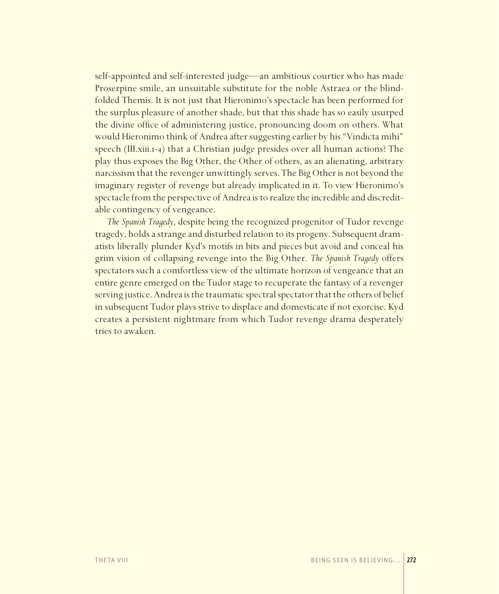self-appointed and self-interested judge—an ambitious courtier who has made Proserpine smile, an unsuitable substitute for the noble Astraea or the blindfolded Themis. It is not just that Hieronimo's spectacle has been performed for the surplus pleasure of another shade, but that this shade has so easily usurped the divine office of administering justice, pronouncing doom on others. What would Hieronimo think of Andrea after suggesting earlier by his "Vindicta mihi" speech (III.xiii.1-4) that a Christian judge presides over all human actions? The play thus exposes the Big Other, the Other of others, as an alienating, arbitrary narcissism that the revenger unwittingly serves. The Big Other is not beyond the imaginary register of revenge but already implicated in it. To view Hieronimo's spectacle from the perspective of Andrea is to realize the incredible and discreditable contingency of vengeance.

*The Spanish Tragedy*, despite being the recognized progenitor of Tudor revenge tragedy, holds a strange and disturbed relation to its progeny. Subsequent dramatists liberally plunder Kyd's motifs in bits and pieces but avoid and conceal his grim vision of collapsing revenge into the Big Other. *The Spanish Tragedy* offers spectators such a comfortless view of the ultimate horizon of vengeance that an entire genre emerged on the Tudor stage to recuperate the fantasy of a revenger serving justice. Andrea is the traumatic spectral spectator that the others of belief in subsequent Tudor plays strive to displace and domesticate if not exorcise. Kyd creates a persistent nightmare from which Tudor revenge drama desperately tries to awaken.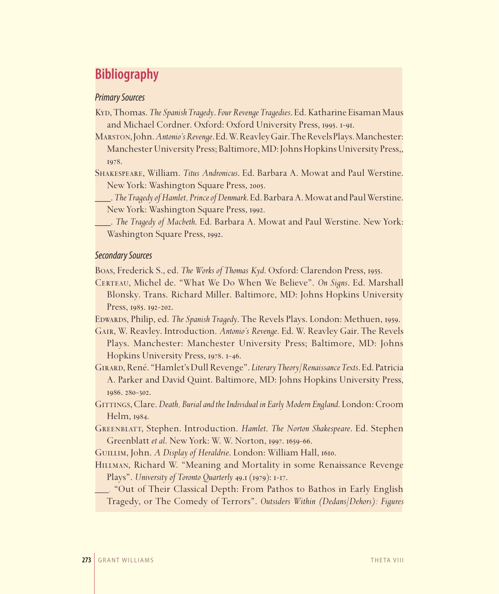# **Bibliography**

#### *Primary Sources*

Kyd, Thomas. *The Spanish Tragedy*. *Four Revenge Tragedies*. Ed. Katharine Eisaman Maus and Michael Cordner. Oxford: Oxford University Press, 1995. 1-91.

Marston, John. *Antonio's Revenge*. Ed. W. Reavley Gair. The Revels Plays. Manchester: Manchester University Press; Baltimore, MD: Johns Hopkins University Press,, 1978.

Shakespeare, William. *Titus Andronicus*. Ed. Barbara A. Mowat and Paul Werstine. New York: Washington Square Press, 2005.

\_\_\_. *The Tragedy of Hamlet, Prince of Denmark*. Ed. Barbara A. Mowat and Paul Werstine. New York: Washington Square Press, 1992.

\_\_\_. *The Tragedy of Macbeth*. Ed. Barbara A. Mowat and Paul Werstine. New York: Washington Square Press, 1992.

#### *Secondary Sources*

Boas, Frederick S., ed. *The Works of Thomas Kyd*. Oxford: Clarendon Press, 1955.

Certeau, Michel de. "What We Do When We Believe". *On Signs*. Ed. Marshall Blonsky. Trans. Richard Miller. Baltimore, MD: Johns Hopkins University Press, 1985. 192-202.

Edwards, Philip, ed. *The Spanish Tragedy*. The Revels Plays. London: Methuen, 1959.

Gair, W. Reavley. Introduction. *Antonio's Revenge*. Ed. W. Reavley Gair. The Revels Plays. Manchester: Manchester University Press; Baltimore, MD: Johns Hopkins University Press, 1978. 1-46.

Girard, René. "Hamlet's Dull Revenge". *Literary Theory/Renaissance Texts*. Ed. Patricia A. Parker and David Quint. Baltimore, MD: Johns Hopkins University Press, 1986. 280-302.

Gittings, Clare. *Death, Burial and the Individual in Early Modern England*. London: Croom Helm, 1984.

Greenblatt, Stephen. Introduction. *Hamlet*. *The Norton Shakespeare*. Ed. Stephen Greenblatt *et al*. New York: W. W. Norton, 1997. 1659-66.

Guillim, John. *A Display of Heraldrie*. London: William Hall, 1610.

Hillman, Richard W. "Meaning and Mortality in some Renaissance Revenge Plays". *University of Toronto Quarterly* 49.1 (1979): 1-17.

*\_\_\_.* "Out of Their Classical Depth: From Pathos to Bathos in Early English Tragedy, or The Comedy of Terrors". *Outsiders Within (Dedans/Dehors): Figures*